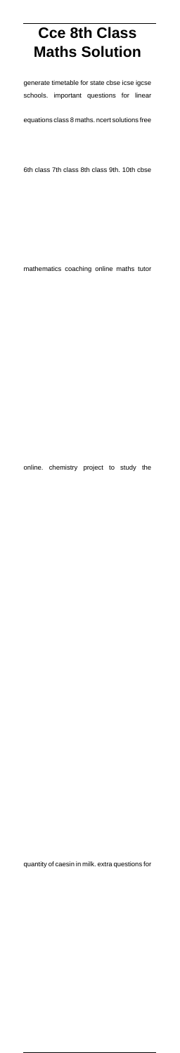# **Cce 8th Class Maths Solution**

generate timetable for state cbse icse igcse schools. important questions for linear

equations class 8 maths. ncert solutions free

6th class 7th class 8th class 9th. 10th cbse

mathematics coaching online maths tutor

online. chemistry project to study the

quantity of caesin in milk. extra questions for